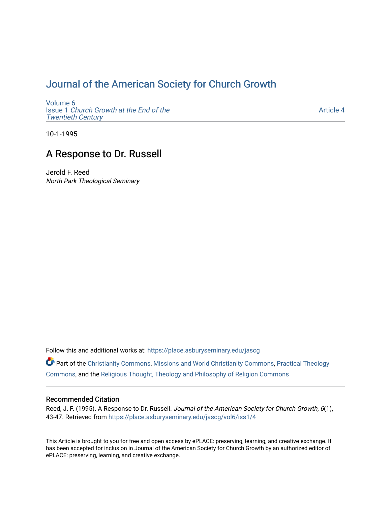# [Journal of the American Society for Church Growth](https://place.asburyseminary.edu/jascg)

[Volume 6](https://place.asburyseminary.edu/jascg/vol6) Issue 1 [Church Growth at the End of the](https://place.asburyseminary.edu/jascg/vol6/iss1) [Twentieth Century](https://place.asburyseminary.edu/jascg/vol6/iss1) 

[Article 4](https://place.asburyseminary.edu/jascg/vol6/iss1/4) 

10-1-1995

## A Response to Dr. Russell

Jerold F. Reed North Park Theological Seminary

Follow this and additional works at: [https://place.asburyseminary.edu/jascg](https://place.asburyseminary.edu/jascg?utm_source=place.asburyseminary.edu%2Fjascg%2Fvol6%2Fiss1%2F4&utm_medium=PDF&utm_campaign=PDFCoverPages)

Part of the [Christianity Commons,](https://network.bepress.com/hgg/discipline/1181?utm_source=place.asburyseminary.edu%2Fjascg%2Fvol6%2Fiss1%2F4&utm_medium=PDF&utm_campaign=PDFCoverPages) [Missions and World Christianity Commons](https://network.bepress.com/hgg/discipline/1187?utm_source=place.asburyseminary.edu%2Fjascg%2Fvol6%2Fiss1%2F4&utm_medium=PDF&utm_campaign=PDFCoverPages), [Practical Theology](https://network.bepress.com/hgg/discipline/1186?utm_source=place.asburyseminary.edu%2Fjascg%2Fvol6%2Fiss1%2F4&utm_medium=PDF&utm_campaign=PDFCoverPages)  [Commons](https://network.bepress.com/hgg/discipline/1186?utm_source=place.asburyseminary.edu%2Fjascg%2Fvol6%2Fiss1%2F4&utm_medium=PDF&utm_campaign=PDFCoverPages), and the [Religious Thought, Theology and Philosophy of Religion Commons](https://network.bepress.com/hgg/discipline/544?utm_source=place.asburyseminary.edu%2Fjascg%2Fvol6%2Fiss1%2F4&utm_medium=PDF&utm_campaign=PDFCoverPages) 

### Recommended Citation

Reed, J. F. (1995). A Response to Dr. Russell. Journal of the American Society for Church Growth, 6(1), 43-47. Retrieved from [https://place.asburyseminary.edu/jascg/vol6/iss1/4](https://place.asburyseminary.edu/jascg/vol6/iss1/4?utm_source=place.asburyseminary.edu%2Fjascg%2Fvol6%2Fiss1%2F4&utm_medium=PDF&utm_campaign=PDFCoverPages)

This Article is brought to you for free and open access by ePLACE: preserving, learning, and creative exchange. It has been accepted for inclusion in Journal of the American Society for Church Growth by an authorized editor of ePLACE: preserving, learning, and creative exchange.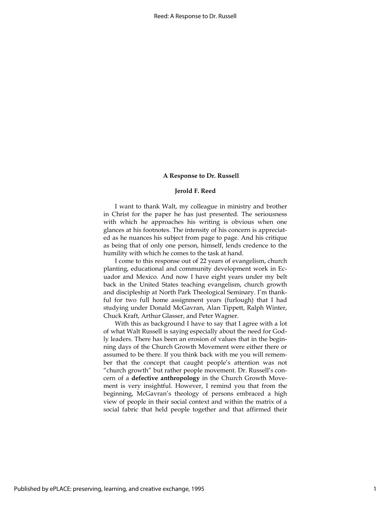#### A Response to Dr. Russell

#### Jerold F. Reed

I want to thank Walt, my colleague in ministry and brother in Christ for the paper he has just presented. The seriousness with which he approaches his writing is obvious when one glances at his footnotes. The intensity of his concern is appreciated as he nuances his subject from page to page. And his critique as being that of only one person, himself, lends credence to the humility with which he comes to the task at hand.

I come to this response out of 22 years of evangelism, church planting, educational and community development work in Ecuador and Mexico. And now I have eight years under my belt back in the United States teaching evangelism, church growth and discipleship at North Park Theological Seminary. I'm thankful for two full home assignment years (furlough) that I had studying under Donald McGavran, Alan Tippett, Ralph Winter, Chuck Kraft, Arthur Glasser, and Peter Wagner.

With this as background I have to say that I agree with a lot of what Walt Russell is saying especially about the need for Godly leaders. There has been an erosion of values that in the beginning days of the Church Growth Movement were either there or assumed to be there. If you think back with me you will remember that the concept that caught people's attention was not "church growth" but rather people movement. Dr. Russell's concern of a defective anthropology in the Church Growth Movement is very insightful. However, I remind you that from the beginning, McGavran's theology of persons embraced a high view of people in their social context and within the matrix of a social fabric that held people together and that affirmed their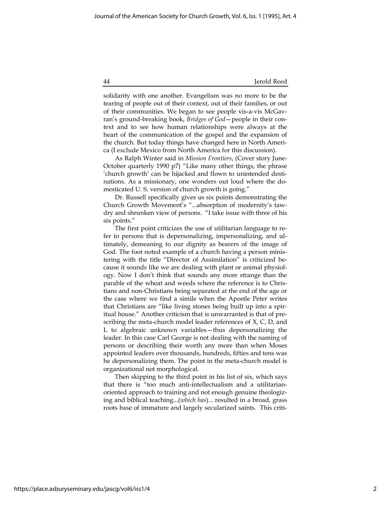#### 44 Jerold Reed

solidarity with one another. Evangelism was no more to be the tearing of people out of their context, out of their families, or out of their communities. We began to see people vis-a-vis McGavran's ground-breaking book, Bridges of God—people in their context and to see how human relationships were always at the heart of the communication of the gospel and the expansion of the church. But today things have changed here in North America (I exclude Mexico from North America for this discussion).

As Ralph Winter said in Mission Frontiers, (Cover story June-October quarterly 1990 p7) "Like many other things, the phrase 'church growth' can be hijacked and flown to unintended destinations. As a missionary, one wonders out loud where the domesticated U. S. version of church growth is going."

Dr. Russell specifically gives us six points demonstrating the Church Growth Movement's "...absorption of modernity's tawdry and shrunken view of persons. "I take issue with three of his six points."

The first point criticizes the use of utilitarian language to refer to persons that is depersonalizing, impersonalizing, and ultimately, demeaning to our dignity as bearers of the image of God. The foot noted example of a church having a person ministering with the title "Director of Assimilation" is criticized because it sounds like we are dealing with plant or animal physiology. Now I don't think that sounds any more strange than the parable of the wheat and weeds where the reference is to Christians and non-Christians being separated at the end of the age or the case where we find a simile when the Apostle Peter writes that Christians are "like living stones being built up into a spiritual house." Another criticism that is unwarranted is that of prescribing the meta-church model leader references of X, C, D, and L to algebraic unknown variables—thus depersonalizing the leader. In this case Carl George is not dealing with the naming of persons or describing their worth any more than when Moses appointed leaders over thousands, hundreds, fifties and tens was he depersonalizing them. The point in the meta-church model is organizational not morphological.

Then skipping to the third point in his list of six, which says that there is "too much anti-intellectualism and a utilitarianoriented approach to training and not enough genuine theologizing and biblical teaching...(which has)... resulted in a broad, grass roots base of immature and largely secularized saints. This criti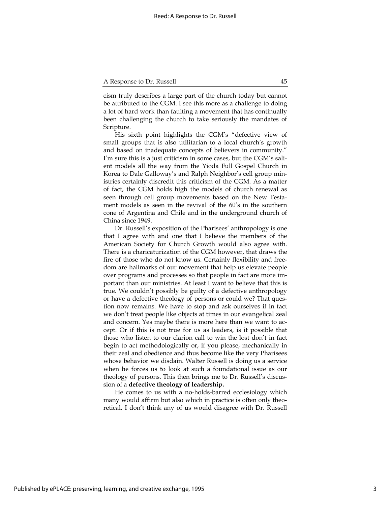cism truly describes a large part of the church today but cannot be attributed to the CGM. I see this more as a challenge to doing a lot of hard work than faulting a movement that has continually been challenging the church to take seriously the mandates of Scripture.

His sixth point highlights the CGM's "defective view of small groups that is also utilitarian to a local church's growth and based on inadequate concepts of believers in community." I'm sure this is a just criticism in some cases, but the CGM's salient models all the way from the Yioda Full Gospel Church in Korea to Dale Galloway's and Ralph Neighbor's cell group ministries certainly discredit this criticism of the CGM. As a matter of fact, the CGM holds high the models of church renewal as seen through cell group movements based on the New Testament models as seen in the revival of the 60's in the southern cone of Argentina and Chile and in the underground church of China since 1949.

Dr. Russell's exposition of the Pharisees' anthropology is one that I agree with and one that I believe the members of the American Society for Church Growth would also agree with. There is a charicaturization of the CGM however, that draws the fire of those who do not know us. Certainly flexibility and freedom are hallmarks of our movement that help us elevate people over programs and processes so that people in fact are more important than our ministries. At least I want to believe that this is true. We couldn't possibly be guilty of a defective anthropology or have a defective theology of persons or could we? That question now remains. We have to stop and ask ourselves if in fact we don't treat people like objects at times in our evangelical zeal and concern. Yes maybe there is more here than we want to accept. Or if this is not true for us as leaders, is it possible that those who listen to our clarion call to win the lost don't in fact begin to act methodologically or, if you please, mechanically in their zeal and obedience and thus become like the very Pharisees whose behavior we disdain. Walter Russell is doing us a service when he forces us to look at such a foundational issue as our theology of persons. This then brings me to Dr. Russell's discussion of a defective theology of leadership.

He comes to us with a no-holds-barred ecclesiology which many would affirm but also which in practice is often only theoretical. I don't think any of us would disagree with Dr. Russell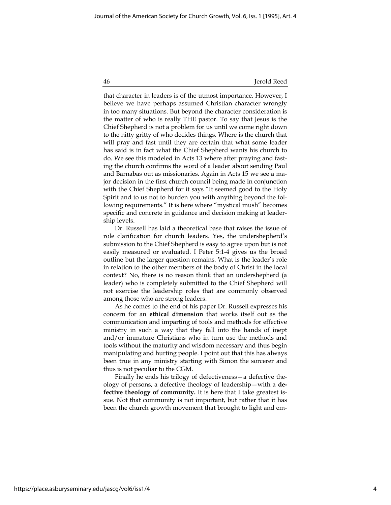46 Jerold Reed

that character in leaders is of the utmost importance. However, I believe we have perhaps assumed Christian character wrongly in too many situations. But beyond the character consideration is the matter of who is really THE pastor. To say that Jesus is the Chief Shepherd is not a problem for us until we come right down to the nitty gritty of who decides things. Where is the church that will pray and fast until they are certain that what some leader has said is in fact what the Chief Shepherd wants his church to do. We see this modeled in Acts 13 where after praying and fasting the church confirms the word of a leader about sending Paul and Barnabas out as missionaries. Again in Acts 15 we see a major decision in the first church council being made in conjunction with the Chief Shepherd for it says "It seemed good to the Holy Spirit and to us not to burden you with anything beyond the following requirements." It is here where "mystical mush" becomes specific and concrete in guidance and decision making at leadership levels.

Dr. Russell has laid a theoretical base that raises the issue of role clarification for church leaders. Yes, the undershepherd's submission to the Chief Shepherd is easy to agree upon but is not easily measured or evaluated. I Peter 5:1-4 gives us the broad outline but the larger question remains. What is the leader's role in relation to the other members of the body of Christ in the local context? No, there is no reason think that an undershepherd (a leader) who is completely submitted to the Chief Shepherd will not exercise the leadership roles that are commonly observed among those who are strong leaders.

As he comes to the end of his paper Dr. Russell expresses his concern for an ethical dimension that works itself out as the communication and imparting of tools and methods for effective ministry in such a way that they fall into the hands of inept and/or immature Christians who in turn use the methods and tools without the maturity and wisdom necessary and thus begin manipulating and hurting people. I point out that this has always been true in any ministry starting with Simon the sorcerer and thus is not peculiar to the CGM.

Finally he ends his trilogy of defectiveness—a defective theology of persons, a defective theology of leadership—with a defective theology of community. It is here that I take greatest issue. Not that community is not important, but rather that it has been the church growth movement that brought to light and em-